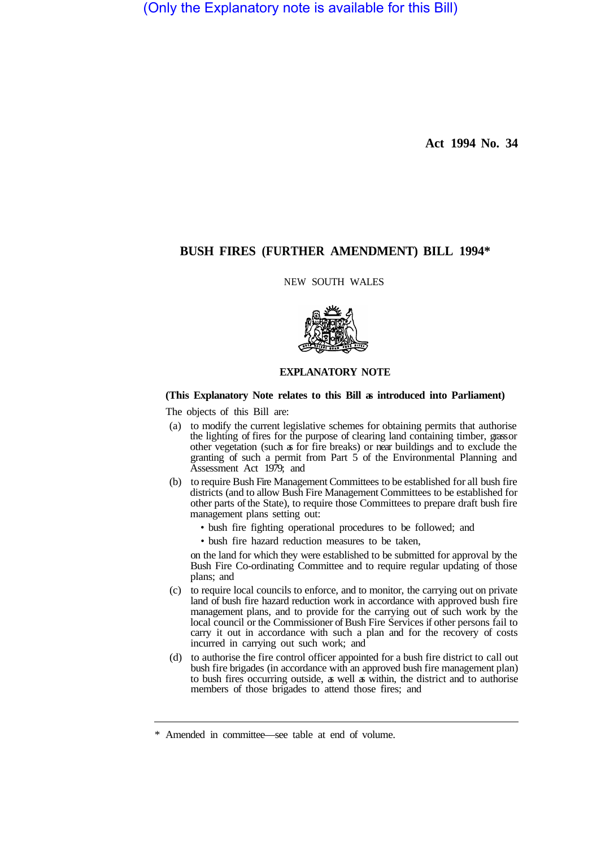(Only the Explanatory note is available for this Bill)

**Act 1994 No. 34** 

# **BUSH FIRES (FURTHER AMENDMENT) BILL 1994\***

NEW SOUTH WALES



### **EXPLANATORY NOTE**

## **(This Explanatory Note relates to this Bill as introduced into Parliament)**

The objects of this Bill are:

- (a) to modify the current legislative schemes for obtaining permits that authorise the lighting of fires for the purpose of clearing land containing timber, grass or other vegetation (such as for fire breaks) or near buildings and to exclude the granting of such a permit from Part  $5$  of the Environmental Planning and Assessment Act 1979; and
- (b) to require Bush Fire Management Committees to be established for all bush fire districts (and to allow Bush Fire Management Committees to be established for other parts of the State), to require those Committees to prepare draft bush fire management plans setting out:
	- bush fire fighting operational procedures to be followed; and
	- bush fire hazard reduction measures to be taken,

on the land for which they were established to be submitted for approval by the Bush Fire Co-ordinating Committee and to require regular updating of those plans; and

- (c) to require local councils to enforce, and to monitor, the carrying out on private land of bush fire hazard reduction work in accordance with approved bush fire management plans, and to provide for the carrying out of such work by the local council or the Commissioner of Bush Fire Services if other persons fail to carry it out in accordance with such a plan and for the recovery of costs incurred in carrying out such work; and
- (d) to authorise the fire control officer appointed for a bush fire district to call out bush fire brigades (in accordance with an approved bush fire management plan) to bush fires occurring outside, as well as within, the district and to authorise members of those brigades to attend those fires; and

<sup>\*</sup> Amended in committee—see table at end of volume.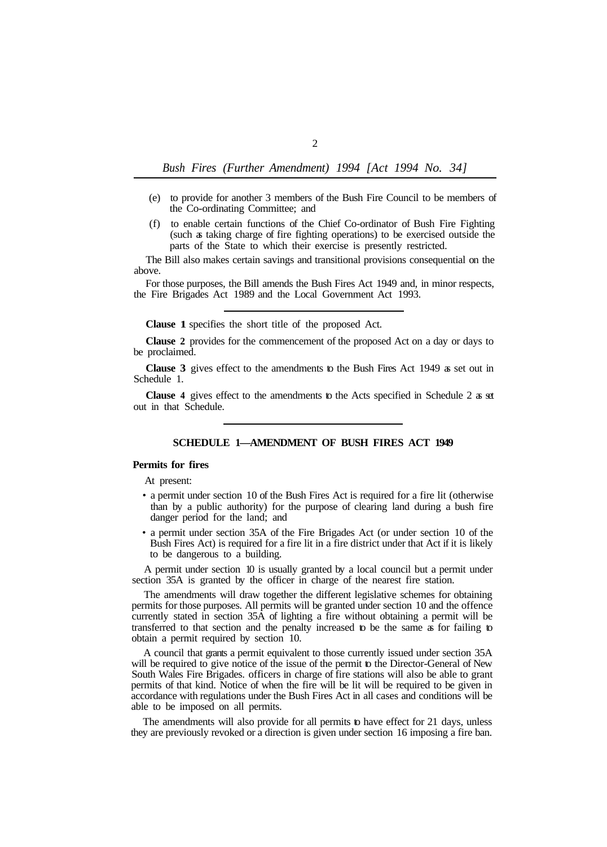- (e) to provide for another 3 members of the Bush Fire Council to be members of the Co-ordinating Committee; and
- (f) to enable certain functions of the Chief Co-ordinator of Bush Fire Fighting (such as taking charge of fire fighting operations) to be exercised outside the parts of the State to which their exercise is presently restricted.

The Bill also makes certain savings and transitional provisions consequential on the above.

For those purposes, the Bill amends the Bush Fires Act 1949 and, in minor respects, the Fire Brigades Act 1989 and the Local Government Act 1993.

**Clause 1** specifies the short title of the proposed Act.

**Clause 2** provides for the commencement of the proposed Act on a day or days to be proclaimed.

**Clause 3** gives effect to the amendments to the Bush Fires Act 1949 as set out in Schedule 1.

**Clause 4** gives effect to the amendments to the Acts specified in Schedule 2 as set out in that Schedule.

## **SCHEDULE 1—AMENDMENT OF BUSH FIRES ACT 1949**

#### **Permits for fires**

At present:

- a permit under section 10 of the Bush Fires Act is required for a fire lit (otherwise than by a public authority) for the purpose of clearing land during a bush fire danger period for the land; and
- a permit under section 35A of the Fire Brigades Act (or under section 10 of the Bush Fires Act) is required for a fire lit in a fire district under that Act if it is likely to be dangerous to a building.

A permit under section 10 is usually granted by a local council but a permit under section 35A is granted by the officer in charge of the nearest fire station.

The amendments will draw together the different legislative schemes for obtaining permits for those purposes. All permits will be granted under section 10 and the offence currently stated in section 35A of lighting a fire without obtaining a permit will be transferred to that section and the penalty increased to be the same as for failing to obtain a permit required by section 10.

A council that grants a permit equivalent to those currently issued under section 35A will be required to give notice of the issue of the permit to the Director-General of New South Wales Fire Brigades. officers in charge of fire stations will also be able to grant permits of that kind. Notice of when the fire will be lit will be required to be given in accordance with regulations under the Bush Fires Act in all cases and conditions will be able to be imposed on all permits.

The amendments will also provide for all permits to have effect for 21 days, unless they are previously revoked or a direction is given under section 16 imposing a fire ban.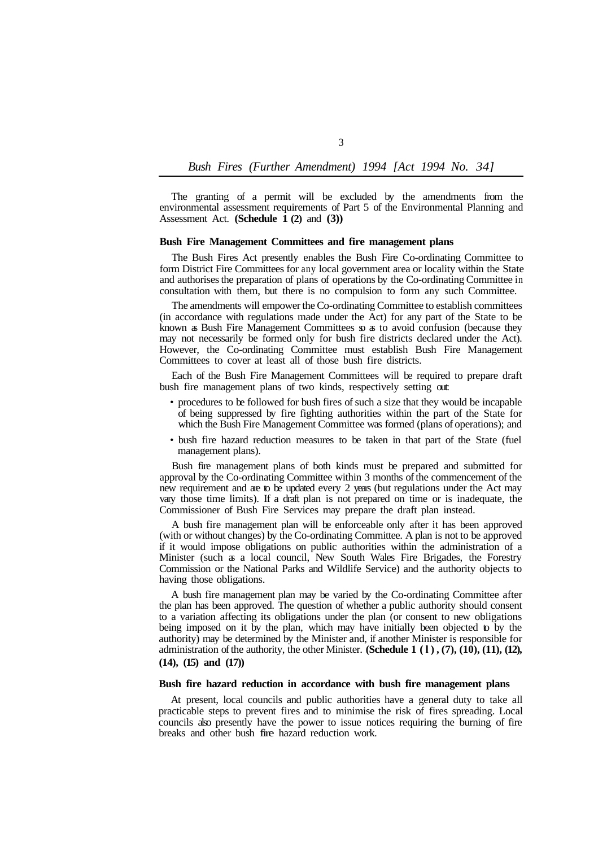# *Bush Fires (Further Amendment) 1994 [Act 1994 No. 34]*

The granting of a permit will be excluded by the amendments from the environmental assessment requirements of Part 5 of the Environmental Planning and Assessment Act. **(Schedule 1 (2)** and **(3))** 

#### **Bush Fire Management Committees and fire management plans**

The Bush Fires Act presently enables the Bush Fire Co-ordinating Committee to form District Fire Committees for any local government area or locality within the State and authorises the preparation of plans of operations by the Co-ordinating Committee in consultation with them, but there is no compulsion to form any such Committee.

The amendments will empower the Co-ordinating Committee to establish committees (in accordance with regulations made under the Act) for any part of the State to be known as Bush Fire Management Committees so as to avoid confusion (because they may not necessarily be formed only for bush fire districts declared under the Act). However, the Co-ordinating Committee must establish Bush Fire Management Committees to cover at least all of those bush fire districts.

Each of the Bush Fire Management Committees will be required to prepare draft bush fire management plans of two kinds, respectively setting out:

- procedures to be followed for bush fires of such a size that they would be incapable of being suppressed by fire fighting authorities within the part of the State for which the Bush Fire Management Committee was formed (plans of operations); and
- bush fire hazard reduction measures to be taken in that part of the State (fuel management plans).

Bush fire management plans of both kinds must be prepared and submitted for approval by the Co-ordinating Committee within 3 months of the commencement of the new requirement and are to be updated every 2 years (but regulations under the Act may vary those time limits). If a draft plan is not prepared on time or is inadequate, the Commissioner of Bush Fire Services may prepare the draft plan instead.

A bush fire management plan will be enforceable only after it has been approved (with or without changes) by the Co-ordinating Committee. A plan is not to be approved if it would impose obligations on public authorities within the administration of a Minister (such as a local council, New South Wales Fire Brigades, the Forestry Commission or the National Parks and Wildlife Service) and the authority objects to having those obligations.

A bush fire management plan may be varied by the Co-ordinating Committee after the plan has been approved. The question of whether a public authority should consent to a variation affecting its obligations under the plan (or consent to new obligations being imposed on it by the plan, which may have initially been objected to by the authority) may be determined by the Minister and, if another Minister is responsible for administration of the authority, the other Minister. **(Schedule 1 (l), (7), (10), (11), (12), (14), (15) and (17))** 

## **Bush fire hazard reduction in accordance with bush fire management plans**

At present, local councils and public authorities have a general duty to take all practicable steps to prevent fires and to minimise the risk of fires spreading. Local councils also presently have the power to issue notices requiring the burning of fire breaks and other bush fire hazard reduction work.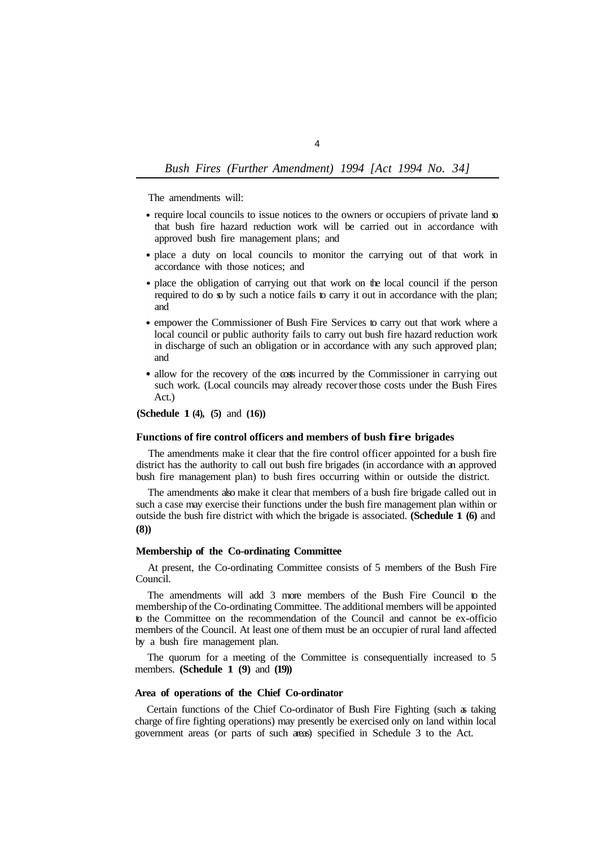# *Bush Fires (Further Amendment) 1994 [Act 1994 No. 34]*

The amendments will:

- require local councils to issue notices to the owners or occupiers of private land  $\infty$ that bush fire hazard reduction work will be carried out in accordance with approved bush fire management plans; and
- place a duty on local councils to monitor the carrying out of that work in accordance with those notices; and
- place the obligation of carrying out that work on the local council if the person required to do so by such a notice fails to carry it out in accordance with the plan; and
- empower the Commissioner of Bush Fire Services to carry out that work where a local council or public authority fails to carry out bush fire hazard reduction work in discharge of such an obligation or in accordance with any such approved plan; and
- allow for the recovery of the costs incurred by the Commissioner in carrying out such work. (Local councils may already recover those costs under the Bush Fires Act.)

**(Schedule 1 (4), (5)** and **(16))** 

#### **Functions of fire control officers and members of bush fire brigades**

The amendments make it clear that the fire control officer appointed for a bush fire district has the authority to call out bush fire brigades (in accordance with an approved bush fire management plan) to bush fires occurring within or outside the district.

The amendments also make it clear that members of a bush fire brigade called out in such a case may exercise their functions under the bush fire management plan within or outside the bush fire district with which the brigade is associated. **(Schedule 1 (6)** and **(8))** 

### **Membership of the Co-ordinating Committee**

At present, the Co-ordinating Committee consists of 5 members of the Bush Fire Council.

The amendments will add 3 more members of the Bush Fire Council to the membership of the Co-ordinating Committee. The additional members will be appointed to the Committee on the recommendation of the Council and cannot be ex-officio members of the Council. At least one of them must be an occupier of rural land affected by a bush fire management plan.

members. **(Schedule 1 (9)** and **(19))**  The quorum for a meeting of the Committee is consequentially increased to 5

## **Area of operations of the Chief Co-ordinator**

Certain functions of the Chief Co-ordinator of Bush Fire Fighting (such as taking charge of fire fighting operations) may presently be exercised only on land within local government areas (or parts of such areas) specified in Schedule 3 to the Act.